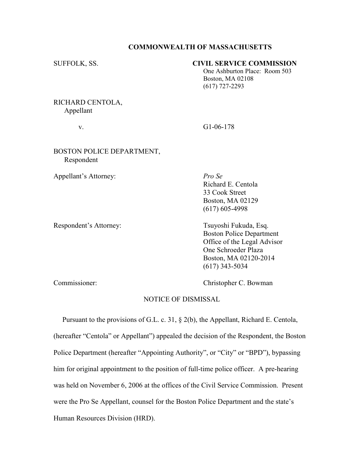#### COMMONWEALTH OF MASSACHUSETTS

## SUFFOLK, SS. CIVIL SERVICE COMMISSION

 One Ashburton Place: Room 503 Boston, MA 02108 (617) 727-2293

## RICHARD CENTOLA, Appellant

v. G1-06-178

## BOSTON POLICE DEPARTMENT, Respondent

Appellant's Attorney: Pro Se

 Richard E. Centola 33 Cook Street Boston, MA 02129 (617) 605-4998

Respondent's Attorney: Tsuyoshi Fukuda, Esq. Boston Police Department Office of the Legal Advisor One Schroeder Plaza Boston, MA 02120-2014 (617) 343-5034

Commissioner: Christopher C. Bowman

# NOTICE OF DISMISSAL

 Pursuant to the provisions of G.L. c. 31, § 2(b), the Appellant, Richard E. Centola, (hereafter "Centola" or Appellant") appealed the decision of the Respondent, the Boston Police Department (hereafter "Appointing Authority", or "City" or "BPD"), bypassing him for original appointment to the position of full-time police officer. A pre-hearing was held on November 6, 2006 at the offices of the Civil Service Commission. Present were the Pro Se Appellant, counsel for the Boston Police Department and the state's Human Resources Division (HRD).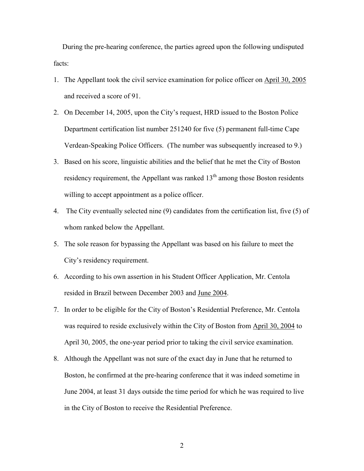During the pre-hearing conference, the parties agreed upon the following undisputed facts:

- 1. The Appellant took the civil service examination for police officer on April 30, 2005 and received a score of 91.
- 2. On December 14, 2005, upon the City's request, HRD issued to the Boston Police Department certification list number 251240 for five (5) permanent full-time Cape Verdean-Speaking Police Officers. (The number was subsequently increased to 9.)
- 3. Based on his score, linguistic abilities and the belief that he met the City of Boston residency requirement, the Appellant was ranked  $13<sup>th</sup>$  among those Boston residents willing to accept appointment as a police officer.
- 4. The City eventually selected nine (9) candidates from the certification list, five (5) of whom ranked below the Appellant.
- 5. The sole reason for bypassing the Appellant was based on his failure to meet the City's residency requirement.
- 6. According to his own assertion in his Student Officer Application, Mr. Centola resided in Brazil between December 2003 and June 2004.
- 7. In order to be eligible for the City of Boston's Residential Preference, Mr. Centola was required to reside exclusively within the City of Boston from April 30, 2004 to April 30, 2005, the one-year period prior to taking the civil service examination.
- 8. Although the Appellant was not sure of the exact day in June that he returned to Boston, he confirmed at the pre-hearing conference that it was indeed sometime in June 2004, at least 31 days outside the time period for which he was required to live in the City of Boston to receive the Residential Preference.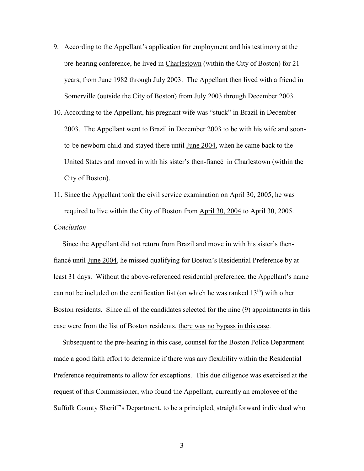- 9. According to the Appellant's application for employment and his testimony at the pre-hearing conference, he lived in Charlestown (within the City of Boston) for 21 years, from June 1982 through July 2003. The Appellant then lived with a friend in Somerville (outside the City of Boston) from July 2003 through December 2003.
- 10. According to the Appellant, his pregnant wife was "stuck" in Brazil in December 2003. The Appellant went to Brazil in December 2003 to be with his wife and soonto-be newborn child and stayed there until June 2004, when he came back to the United States and moved in with his sister's then-fiancé in Charlestown (within the City of Boston).
- 11. Since the Appellant took the civil service examination on April 30, 2005, he was required to live within the City of Boston from April 30, 2004 to April 30, 2005. Conclusion

 Since the Appellant did not return from Brazil and move in with his sister's thenfiancé until June 2004, he missed qualifying for Boston's Residential Preference by at least 31 days. Without the above-referenced residential preference, the Appellant's name can not be included on the certification list (on which he was ranked  $13<sup>th</sup>$ ) with other Boston residents. Since all of the candidates selected for the nine (9) appointments in this case were from the list of Boston residents, there was no bypass in this case.

 Subsequent to the pre-hearing in this case, counsel for the Boston Police Department made a good faith effort to determine if there was any flexibility within the Residential Preference requirements to allow for exceptions. This due diligence was exercised at the request of this Commissioner, who found the Appellant, currently an employee of the Suffolk County Sheriff's Department, to be a principled, straightforward individual who

3